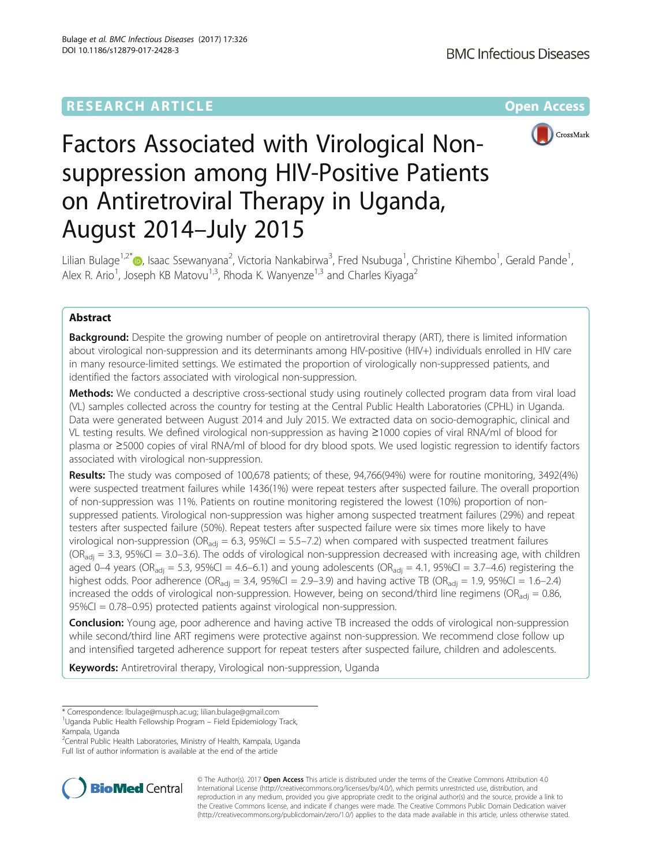

# Factors Associated with Virological Nonsuppression among HIV-Positive Patients on Antiretroviral Therapy in Uganda, August 2014–July 2015

Lilian Bulage<sup>1,2[\\*](http://orcid.org/0000-0002-4027-5485)</sup>®, Isaac Ssewanyana<sup>2</sup>, Victoria Nankabirwa<sup>3</sup>, Fred Nsubuga<sup>1</sup>, Christine Kihembo<sup>1</sup>, Gerald Pande<sup>1</sup> , Alex R. Ario<sup>1</sup>, Joseph KB Matovu<sup>1,3</sup>, Rhoda K. Wanyenze<sup>1,3</sup> and Charles Kiyaga<sup>2</sup>

# Abstract

**Background:** Despite the growing number of people on antiretroviral therapy (ART), there is limited information about virological non-suppression and its determinants among HIV-positive (HIV+) individuals enrolled in HIV care in many resource-limited settings. We estimated the proportion of virologically non-suppressed patients, and identified the factors associated with virological non-suppression.

Methods: We conducted a descriptive cross-sectional study using routinely collected program data from viral load (VL) samples collected across the country for testing at the Central Public Health Laboratories (CPHL) in Uganda. Data were generated between August 2014 and July 2015. We extracted data on socio-demographic, clinical and VL testing results. We defined virological non-suppression as having ≥1000 copies of viral RNA/ml of blood for plasma or ≥5000 copies of viral RNA/ml of blood for dry blood spots. We used logistic regression to identify factors associated with virological non-suppression.

Results: The study was composed of 100,678 patients; of these, 94,766(94%) were for routine monitoring, 3492(4%) were suspected treatment failures while 1436(1%) were repeat testers after suspected failure. The overall proportion of non-suppression was 11%. Patients on routine monitoring registered the lowest (10%) proportion of nonsuppressed patients. Virological non-suppression was higher among suspected treatment failures (29%) and repeat testers after suspected failure (50%). Repeat testers after suspected failure were six times more likely to have virological non-suppression (OR<sub>adi</sub> = 6.3, 95%CI = 5.5–7.2) when compared with suspected treatment failures  $(OR_{\text{adj}} = 3.3, 95\% CI = 3.0-3.6)$ . The odds of virological non-suppression decreased with increasing age, with children aged 0–4 years (OR<sub>adj</sub> = 5.3, 95%CI = 4.6–6.1) and young adolescents (OR<sub>adj</sub> = 4.1, 95%CI = 3.7–4.6) registering the highest odds. Poor adherence (OR<sub>adi</sub> = 3.4, 95%CI = 2.9–3.9) and having active TB (OR<sub>adi</sub> = 1.9, 95%CI = 1.6–2.4) increased the odds of virological non-suppression. However, being on second/third line regimens (OR<sub>adi</sub> = 0.86, 95%CI = 0.78–0.95) protected patients against virological non-suppression.

**Conclusion:** Young age, poor adherence and having active TB increased the odds of virological non-suppression while second/third line ART regimens were protective against non-suppression. We recommend close follow up and intensified targeted adherence support for repeat testers after suspected failure, children and adolescents.

Keywords: Antiretroviral therapy, Virological non-suppression, Uganda

\* Correspondence: [lbulage@musph.ac.ug;](mailto:lbulage@musph.ac.ug) [lilian.bulage@gmail.com](mailto:lilian.bulage@gmail.com) <sup>1</sup>

<sup>2</sup>Central Public Health Laboratories, Ministry of Health, Kampala, Uganda Full list of author information is available at the end of the article



© The Author(s). 2017 **Open Access** This article is distributed under the terms of the Creative Commons Attribution 4.0 International License [\(http://creativecommons.org/licenses/by/4.0/](http://creativecommons.org/licenses/by/4.0/)), which permits unrestricted use, distribution, and reproduction in any medium, provided you give appropriate credit to the original author(s) and the source, provide a link to the Creative Commons license, and indicate if changes were made. The Creative Commons Public Domain Dedication waiver [\(http://creativecommons.org/publicdomain/zero/1.0/](http://creativecommons.org/publicdomain/zero/1.0/)) applies to the data made available in this article, unless otherwise stated.

Uganda Public Health Fellowship Program – Field Epidemiology Track, Kampala, Uganda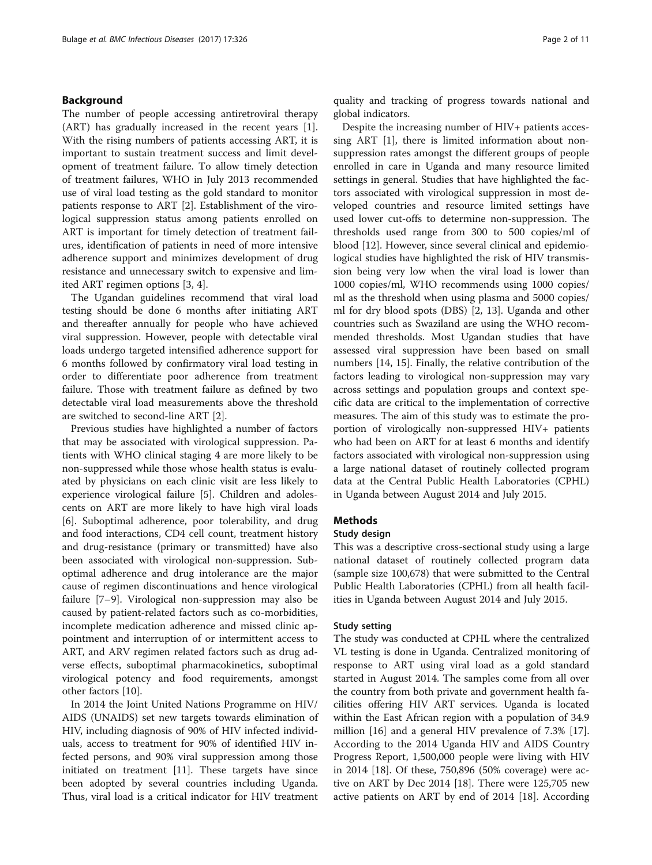# Background

The number of people accessing antiretroviral therapy (ART) has gradually increased in the recent years [\[1](#page-9-0)]. With the rising numbers of patients accessing ART, it is important to sustain treatment success and limit development of treatment failure. To allow timely detection of treatment failures, WHO in July 2013 recommended use of viral load testing as the gold standard to monitor patients response to ART [[2\]](#page-9-0). Establishment of the virological suppression status among patients enrolled on ART is important for timely detection of treatment failures, identification of patients in need of more intensive adherence support and minimizes development of drug resistance and unnecessary switch to expensive and limited ART regimen options [\[3, 4\]](#page-9-0).

The Ugandan guidelines recommend that viral load testing should be done 6 months after initiating ART and thereafter annually for people who have achieved viral suppression. However, people with detectable viral loads undergo targeted intensified adherence support for 6 months followed by confirmatory viral load testing in order to differentiate poor adherence from treatment failure. Those with treatment failure as defined by two detectable viral load measurements above the threshold are switched to second-line ART [\[2](#page-9-0)].

Previous studies have highlighted a number of factors that may be associated with virological suppression. Patients with WHO clinical staging 4 are more likely to be non-suppressed while those whose health status is evaluated by physicians on each clinic visit are less likely to experience virological failure [[5\]](#page-9-0). Children and adolescents on ART are more likely to have high viral loads [[6\]](#page-9-0). Suboptimal adherence, poor tolerability, and drug and food interactions, CD4 cell count, treatment history and drug-resistance (primary or transmitted) have also been associated with virological non-suppression. Suboptimal adherence and drug intolerance are the major cause of regimen discontinuations and hence virological failure [[7](#page-10-0)–[9](#page-10-0)]. Virological non-suppression may also be caused by patient-related factors such as co-morbidities, incomplete medication adherence and missed clinic appointment and interruption of or intermittent access to ART, and ARV regimen related factors such as drug adverse effects, suboptimal pharmacokinetics, suboptimal virological potency and food requirements, amongst other factors [[10\]](#page-10-0).

In 2014 the Joint United Nations Programme on HIV/ AIDS (UNAIDS) set new targets towards elimination of HIV, including diagnosis of 90% of HIV infected individuals, access to treatment for 90% of identified HIV infected persons, and 90% viral suppression among those initiated on treatment [\[11](#page-10-0)]. These targets have since been adopted by several countries including Uganda. Thus, viral load is a critical indicator for HIV treatment quality and tracking of progress towards national and global indicators.

Despite the increasing number of HIV+ patients accessing ART [\[1\]](#page-9-0), there is limited information about nonsuppression rates amongst the different groups of people enrolled in care in Uganda and many resource limited settings in general. Studies that have highlighted the factors associated with virological suppression in most developed countries and resource limited settings have used lower cut-offs to determine non-suppression. The thresholds used range from 300 to 500 copies/ml of blood [[12\]](#page-10-0). However, since several clinical and epidemiological studies have highlighted the risk of HIV transmission being very low when the viral load is lower than 1000 copies/ml, WHO recommends using 1000 copies/ ml as the threshold when using plasma and 5000 copies/ ml for dry blood spots (DBS) [[2,](#page-9-0) [13](#page-10-0)]. Uganda and other countries such as Swaziland are using the WHO recommended thresholds. Most Ugandan studies that have assessed viral suppression have been based on small numbers [[14, 15\]](#page-10-0). Finally, the relative contribution of the factors leading to virological non-suppression may vary across settings and population groups and context specific data are critical to the implementation of corrective measures. The aim of this study was to estimate the proportion of virologically non-suppressed HIV+ patients who had been on ART for at least 6 months and identify factors associated with virological non-suppression using a large national dataset of routinely collected program data at the Central Public Health Laboratories (CPHL) in Uganda between August 2014 and July 2015.

# Methods

### Study design

This was a descriptive cross-sectional study using a large national dataset of routinely collected program data (sample size 100,678) that were submitted to the Central Public Health Laboratories (CPHL) from all health facilities in Uganda between August 2014 and July 2015.

## Study setting

The study was conducted at CPHL where the centralized VL testing is done in Uganda. Centralized monitoring of response to ART using viral load as a gold standard started in August 2014. The samples come from all over the country from both private and government health facilities offering HIV ART services. Uganda is located within the East African region with a population of 34.9 million [[16](#page-10-0)] and a general HIV prevalence of 7.3% [\[17](#page-10-0)]. According to the 2014 Uganda HIV and AIDS Country Progress Report, 1,500,000 people were living with HIV in 2014 [[18\]](#page-10-0). Of these, 750,896 (50% coverage) were active on ART by Dec 2014 [[18\]](#page-10-0). There were 125,705 new active patients on ART by end of 2014 [\[18\]](#page-10-0). According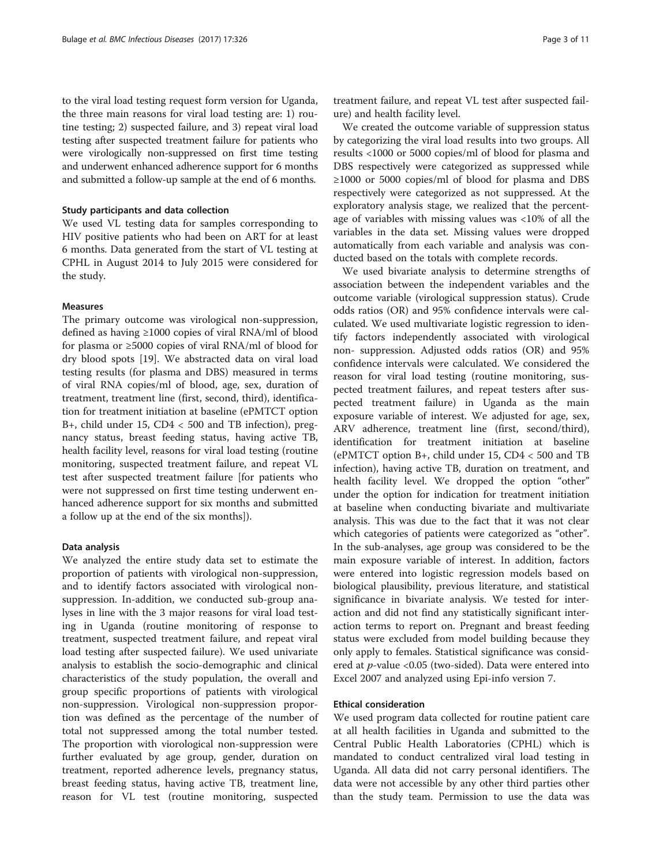to the viral load testing request form version for Uganda, the three main reasons for viral load testing are: 1) routine testing; 2) suspected failure, and 3) repeat viral load testing after suspected treatment failure for patients who were virologically non-suppressed on first time testing and underwent enhanced adherence support for 6 months and submitted a follow-up sample at the end of 6 months.

## Study participants and data collection

We used VL testing data for samples corresponding to HIV positive patients who had been on ART for at least 6 months. Data generated from the start of VL testing at CPHL in August 2014 to July 2015 were considered for the study.

# Measures

The primary outcome was virological non-suppression, defined as having ≥1000 copies of viral RNA/ml of blood for plasma or ≥5000 copies of viral RNA/ml of blood for dry blood spots [[19](#page-10-0)]. We abstracted data on viral load testing results (for plasma and DBS) measured in terms of viral RNA copies/ml of blood, age, sex, duration of treatment, treatment line (first, second, third), identification for treatment initiation at baseline (ePMTCT option B+, child under 15, CD4 < 500 and TB infection), pregnancy status, breast feeding status, having active TB, health facility level, reasons for viral load testing (routine monitoring, suspected treatment failure, and repeat VL test after suspected treatment failure [for patients who were not suppressed on first time testing underwent enhanced adherence support for six months and submitted a follow up at the end of the six months]).

#### Data analysis

We analyzed the entire study data set to estimate the proportion of patients with virological non-suppression, and to identify factors associated with virological nonsuppression. In-addition, we conducted sub-group analyses in line with the 3 major reasons for viral load testing in Uganda (routine monitoring of response to treatment, suspected treatment failure, and repeat viral load testing after suspected failure). We used univariate analysis to establish the socio-demographic and clinical characteristics of the study population, the overall and group specific proportions of patients with virological non-suppression. Virological non-suppression proportion was defined as the percentage of the number of total not suppressed among the total number tested. The proportion with viorological non-suppression were further evaluated by age group, gender, duration on treatment, reported adherence levels, pregnancy status, breast feeding status, having active TB, treatment line, reason for VL test (routine monitoring, suspected

treatment failure, and repeat VL test after suspected failure) and health facility level.

We created the outcome variable of suppression status by categorizing the viral load results into two groups. All results <1000 or 5000 copies/ml of blood for plasma and DBS respectively were categorized as suppressed while ≥1000 or 5000 copies/ml of blood for plasma and DBS respectively were categorized as not suppressed. At the exploratory analysis stage, we realized that the percentage of variables with missing values was <10% of all the variables in the data set. Missing values were dropped automatically from each variable and analysis was conducted based on the totals with complete records.

We used bivariate analysis to determine strengths of association between the independent variables and the outcome variable (virological suppression status). Crude odds ratios (OR) and 95% confidence intervals were calculated. We used multivariate logistic regression to identify factors independently associated with virological non- suppression. Adjusted odds ratios (OR) and 95% confidence intervals were calculated. We considered the reason for viral load testing (routine monitoring, suspected treatment failures, and repeat testers after suspected treatment failure) in Uganda as the main exposure variable of interest. We adjusted for age, sex, ARV adherence, treatment line (first, second/third), identification for treatment initiation at baseline (ePMTCT option B+, child under 15, CD4 < 500 and TB infection), having active TB, duration on treatment, and health facility level. We dropped the option "other" under the option for indication for treatment initiation at baseline when conducting bivariate and multivariate analysis. This was due to the fact that it was not clear which categories of patients were categorized as "other". In the sub-analyses, age group was considered to be the main exposure variable of interest. In addition, factors were entered into logistic regression models based on biological plausibility, previous literature, and statistical significance in bivariate analysis. We tested for interaction and did not find any statistically significant interaction terms to report on. Pregnant and breast feeding status were excluded from model building because they only apply to females. Statistical significance was considered at  $p$ -value <0.05 (two-sided). Data were entered into Excel 2007 and analyzed using Epi-info version 7.

## Ethical consideration

We used program data collected for routine patient care at all health facilities in Uganda and submitted to the Central Public Health Laboratories (CPHL) which is mandated to conduct centralized viral load testing in Uganda. All data did not carry personal identifiers. The data were not accessible by any other third parties other than the study team. Permission to use the data was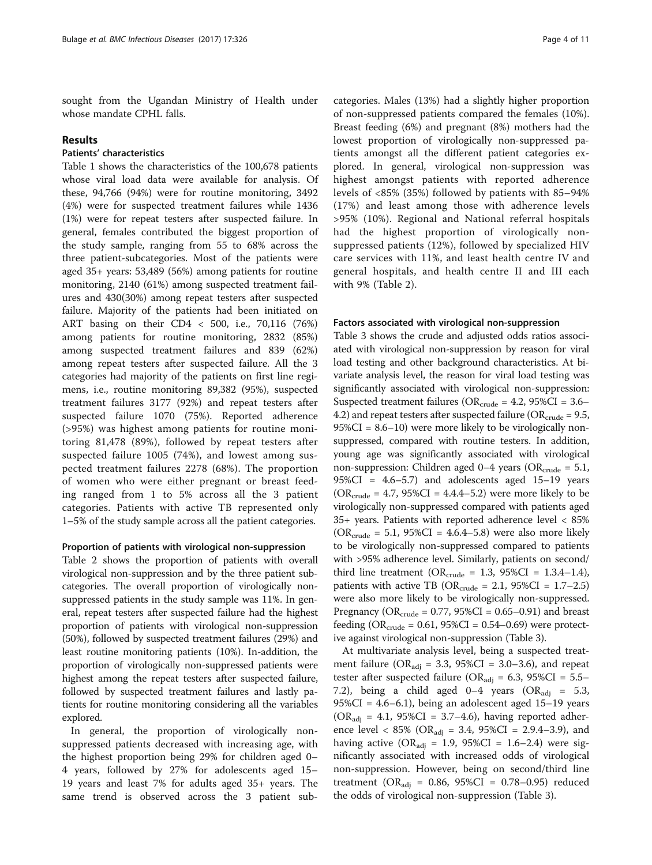sought from the Ugandan Ministry of Health under whose mandate CPHL falls.

# Results

# Patients' characteristics

Table [1](#page-4-0) shows the characteristics of the 100,678 patients whose viral load data were available for analysis. Of these, 94,766 (94%) were for routine monitoring, 3492 (4%) were for suspected treatment failures while 1436 (1%) were for repeat testers after suspected failure. In general, females contributed the biggest proportion of the study sample, ranging from 55 to 68% across the three patient-subcategories. Most of the patients were aged 35+ years: 53,489 (56%) among patients for routine monitoring, 2140 (61%) among suspected treatment failures and 430(30%) among repeat testers after suspected failure. Majority of the patients had been initiated on ART basing on their CD4 < 500, i.e., 70,116 (76%) among patients for routine monitoring, 2832 (85%) among suspected treatment failures and 839 (62%) among repeat testers after suspected failure. All the 3 categories had majority of the patients on first line regimens, i.e., routine monitoring 89,382 (95%), suspected treatment failures 3177 (92%) and repeat testers after suspected failure 1070 (75%). Reported adherence (>95%) was highest among patients for routine monitoring 81,478 (89%), followed by repeat testers after suspected failure 1005 (74%), and lowest among suspected treatment failures 2278 (68%). The proportion of women who were either pregnant or breast feeding ranged from 1 to 5% across all the 3 patient categories. Patients with active TB represented only 1–5% of the study sample across all the patient categories.

#### Proportion of patients with virological non-suppression

Table [2](#page-5-0) shows the proportion of patients with overall virological non-suppression and by the three patient subcategories. The overall proportion of virologically nonsuppressed patients in the study sample was 11%. In general, repeat testers after suspected failure had the highest proportion of patients with virological non-suppression (50%), followed by suspected treatment failures (29%) and least routine monitoring patients (10%). In-addition, the proportion of virologically non-suppressed patients were highest among the repeat testers after suspected failure, followed by suspected treatment failures and lastly patients for routine monitoring considering all the variables explored.

In general, the proportion of virologically nonsuppressed patients decreased with increasing age, with the highest proportion being 29% for children aged 0– 4 years, followed by 27% for adolescents aged 15– 19 years and least 7% for adults aged 35+ years. The same trend is observed across the 3 patient sub-

categories. Males (13%) had a slightly higher proportion of non-suppressed patients compared the females (10%). Breast feeding (6%) and pregnant (8%) mothers had the lowest proportion of virologically non-suppressed patients amongst all the different patient categories explored. In general, virological non-suppression was highest amongst patients with reported adherence levels of <85% (35%) followed by patients with 85–94% (17%) and least among those with adherence levels >95% (10%). Regional and National referral hospitals had the highest proportion of virologically nonsuppressed patients (12%), followed by specialized HIV care services with 11%, and least health centre IV and general hospitals, and health centre II and III each with 9% (Table [2](#page-5-0)).

## Factors associated with virological non-suppression

Table [3](#page-7-0) shows the crude and adjusted odds ratios associated with virological non-suppression by reason for viral load testing and other background characteristics. At bivariate analysis level, the reason for viral load testing was significantly associated with virological non-suppression: Suspected treatment failures (OR<sub>crude</sub> = 4.2,  $95\%CI = 3.6-$ 4.2) and repeat testers after suspected failure ( $OR_{\text{crude}} = 9.5$ ,  $95\%CI = 8.6{\text -}10$ ) were more likely to be virologically nonsuppressed, compared with routine testers. In addition, young age was significantly associated with virological non-suppression: Children aged  $0-4$  years (OR<sub>crude</sub> = 5.1,  $95\%CI = 4.6 - 5.7$  and adolescents aged  $15 - 19$  years  $(OR_{\text{crude}} = 4.7, 95\%CI = 4.4.4 - 5.2)$  were more likely to be virologically non-suppressed compared with patients aged 35+ years. Patients with reported adherence level < 85%  $(OR_{\text{crude}} = 5.1, 95\%CI = 4.6.4 - 5.8)$  were also more likely to be virologically non-suppressed compared to patients with >95% adherence level. Similarly, patients on second/ third line treatment (OR<sub>crude</sub> = 1.3, 95%CI = 1.3.4–1.4), patients with active TB (OR<sub>crude</sub> = 2.1, 95%CI = 1.7-2.5) were also more likely to be virologically non-suppressed. Pregnancy ( $OR_{\text{crude}} = 0.77$ ,  $95\%CI = 0.65 - 0.91$ ) and breast feeding (OR<sub>crude</sub> = 0.61, 95%CI = 0.54–0.69) were protective against virological non-suppression (Table [3](#page-7-0)).

At multivariate analysis level, being a suspected treatment failure ( $OR_{\text{adj}} = 3.3$ , 95%CI = 3.0–3.6), and repeat tester after suspected failure (OR<sub>adj</sub> = 6.3, 95%CI = 5.5– 7.2), being a child aged  $0-4$  years  $(OR_{\text{adj}} = 5.3,$ 95%CI =  $4.6-6.1$ ), being an adolescent aged 15-19 years  $(OR_{\text{adi}} = 4.1, 95\%CI = 3.7–4.6)$ , having reported adherence level < 85% (OR<sub>adj</sub> = 3.4, 95%CI = 2.9.4–3.9), and having active (OR<sub>adj</sub> = 1.9, 95%CI = 1.6–2.4) were significantly associated with increased odds of virological non-suppression. However, being on second/third line treatment (OR<sub>adj</sub> = 0.86, 95%CI = 0.78-0.95) reduced the odds of virological non-suppression (Table [3](#page-7-0)).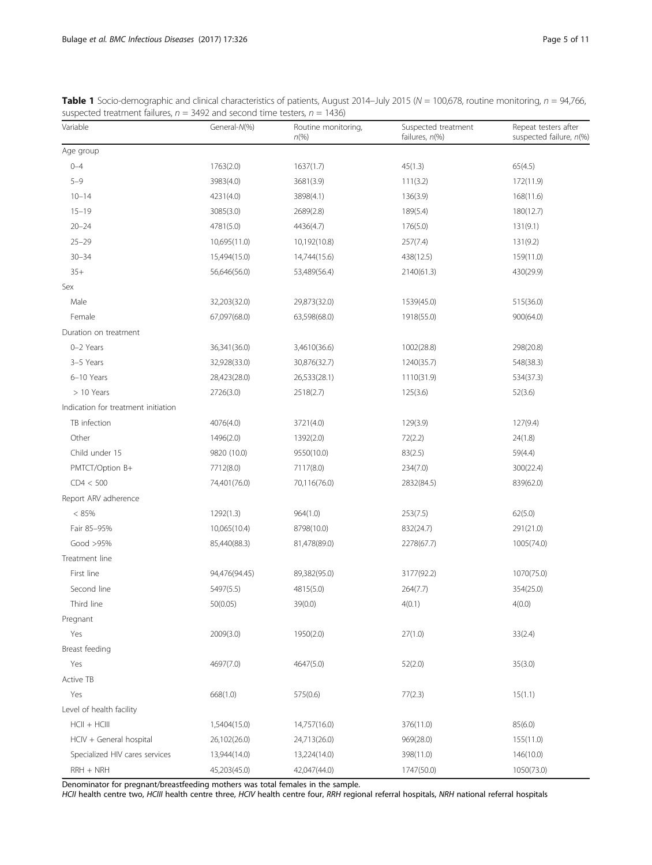<span id="page-4-0"></span>

| Table 1 Socio-demographic and clinical characteristics of patients, August 2014–July 2015 ( $N = 100,678$ , routine monitoring, $n = 94,766$ , |
|------------------------------------------------------------------------------------------------------------------------------------------------|
| suspected treatment failures, $n = 3492$ and second time testers, $n = 1436$ )                                                                 |

| Variable                            | General-N(%)  | Routine monitoring,<br>$n\frac{9}{6}$ | Suspected treatment<br>failures, $n$ (%) | Repeat testers after<br>suspected failure, n(%) |  |
|-------------------------------------|---------------|---------------------------------------|------------------------------------------|-------------------------------------------------|--|
| Age group                           |               |                                       |                                          |                                                 |  |
| $0 - 4$                             | 1763(2.0)     | 1637(1.7)                             | 45(1.3)                                  | 65(4.5)                                         |  |
| $5 - 9$                             | 3983(4.0)     | 3681(3.9)                             | 111(3.2)                                 | 172(11.9)                                       |  |
| $10 - 14$                           | 4231(4.0)     | 3898(4.1)                             | 136(3.9)                                 | 168(11.6)                                       |  |
| $15 - 19$                           | 3085(3.0)     | 2689(2.8)                             | 189(5.4)                                 | 180(12.7)                                       |  |
| $20 - 24$                           | 4781(5.0)     | 4436(4.7)                             | 176(5.0)                                 | 131(9.1)                                        |  |
| $25 - 29$                           | 10,695(11.0)  | 10,192(10.8)                          | 257(7.4)                                 | 131(9.2)                                        |  |
| $30 - 34$                           | 15,494(15.0)  | 14,744(15.6)                          | 438(12.5)                                | 159(11.0)                                       |  |
| $35+$                               | 56,646(56.0)  | 53,489(56.4)                          | 2140(61.3)                               | 430(29.9)                                       |  |
| Sex                                 |               |                                       |                                          |                                                 |  |
| Male                                | 32,203(32.0)  | 29,873(32.0)                          | 1539(45.0)                               | 515(36.0)                                       |  |
| Female                              | 67,097(68.0)  | 63,598(68.0)                          | 1918(55.0)                               | 900(64.0)                                       |  |
| Duration on treatment               |               |                                       |                                          |                                                 |  |
| 0-2 Years                           | 36,341(36.0)  | 3,4610(36.6)                          | 1002(28.8)                               | 298(20.8)                                       |  |
| 3-5 Years                           | 32,928(33.0)  | 30,876(32.7)                          | 1240(35.7)                               | 548(38.3)                                       |  |
| 6-10 Years                          | 28,423(28.0)  | 26,533(28.1)                          | 1110(31.9)                               | 534(37.3)                                       |  |
| $>10$ Years                         | 2726(3.0)     | 2518(2.7)                             | 125(3.6)                                 | 52(3.6)                                         |  |
| Indication for treatment initiation |               |                                       |                                          |                                                 |  |
| TB infection                        | 4076(4.0)     | 3721(4.0)                             | 129(3.9)                                 | 127(9.4)                                        |  |
| Other                               | 1496(2.0)     | 1392(2.0)                             | 72(2.2)                                  | 24(1.8)                                         |  |
| Child under 15                      | 9820 (10.0)   | 9550(10.0)                            | 83(2.5)                                  | 59(4.4)                                         |  |
| PMTCT/Option B+                     | 7712(8.0)     | 7117(8.0)                             | 234(7.0)                                 | 300(22.4)                                       |  |
| CD4 < 500                           | 74,401(76.0)  | 70,116(76.0)                          | 2832(84.5)                               | 839(62.0)                                       |  |
| Report ARV adherence                |               |                                       |                                          |                                                 |  |
| < 85%                               | 1292(1.3)     | 964(1.0)                              | 253(7.5)                                 | 62(5.0)                                         |  |
| Fair 85-95%                         | 10,065(10.4)  | 8798(10.0)                            | 832(24.7)                                | 291(21.0)                                       |  |
| Good >95%                           | 85,440(88.3)  | 81,478(89.0)                          | 2278(67.7)                               | 1005(74.0)                                      |  |
| Treatment line                      |               |                                       |                                          |                                                 |  |
| First line                          | 94,476(94.45) | 89,382(95.0)                          | 3177(92.2)                               | 1070(75.0)                                      |  |
| Second line                         | 5497(5.5)     | 4815(5.0)                             | 264(7.7)                                 | 354(25.0)                                       |  |
| Third line                          | 50(0.05)      | 39(0.0)                               | 4(0.1)                                   | 4(0.0)                                          |  |
| Pregnant                            |               |                                       |                                          |                                                 |  |
| Yes                                 | 2009(3.0)     | 1950(2.0)                             | 27(1.0)                                  | 33(2.4)                                         |  |
| Breast feeding                      |               |                                       |                                          |                                                 |  |
| Yes                                 | 4697(7.0)     | 4647(5.0)                             | 52(2.0)                                  | 35(3.0)                                         |  |
| Active TB                           |               |                                       |                                          |                                                 |  |
| Yes                                 | 668(1.0)      | 575(0.6)                              | 77(2.3)                                  | 15(1.1)                                         |  |
| Level of health facility            |               |                                       |                                          |                                                 |  |
| $HClI + HClII$                      | 1,5404(15.0)  | 14,757(16.0)                          | 376(11.0)                                | 85(6.0)                                         |  |
| HCIV + General hospital             | 26,102(26.0)  | 24,713(26.0)                          | 969(28.0)                                | 155(11.0)                                       |  |
| Specialized HIV cares services      | 13,944(14.0)  | 13,224(14.0)                          | 398(11.0)                                | 146(10.0)                                       |  |
| $RRH + NRH$                         | 45,203(45.0)  | 42,047(44.0)                          | 1747(50.0)                               | 1050(73.0)                                      |  |

Denominator for pregnant/breastfeeding mothers was total females in the sample.

HCII health centre two, HCIII health centre three, HCIV health centre four, RRH regional referral hospitals, NRH national referral hospitals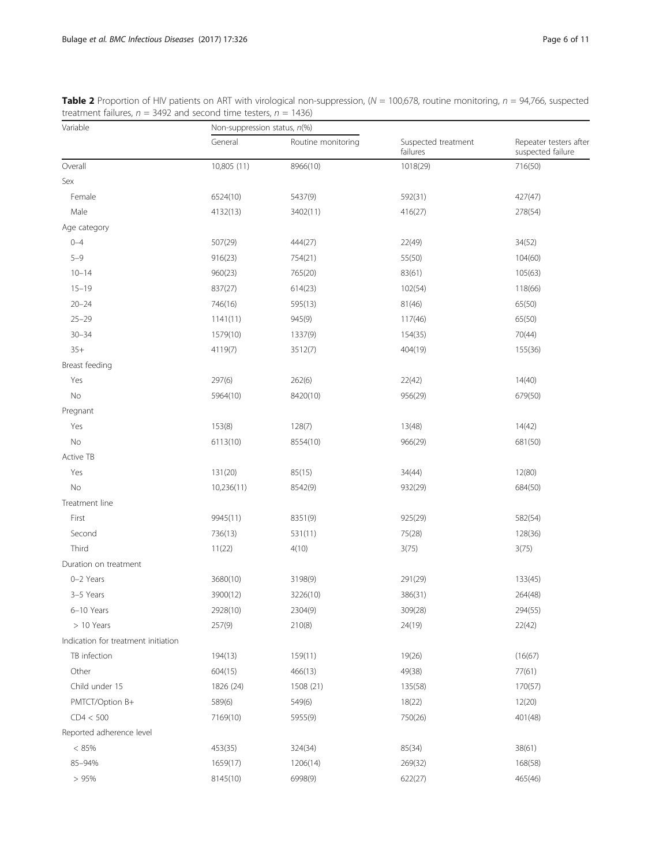<span id="page-5-0"></span>Table 2 Proportion of HIV patients on ART with virological non-suppression, (N = 100,678, routine monitoring, n = 94,766, suspected treatment failures,  $n = 3492$  and second time testers,  $n = 1436$ )

| Variable                            | Non-suppression status, $n$ (%) |                    |                                 |                                             |  |
|-------------------------------------|---------------------------------|--------------------|---------------------------------|---------------------------------------------|--|
|                                     | General                         | Routine monitoring | Suspected treatment<br>failures | Repeater testers after<br>suspected failure |  |
| Overall                             | 10,805 (11)                     | 8966(10)           | 1018(29)                        | 716(50)                                     |  |
| Sex                                 |                                 |                    |                                 |                                             |  |
| Female                              | 6524(10)                        | 5437(9)            | 592(31)                         | 427(47)                                     |  |
| Male                                | 4132(13)                        | 3402(11)           | 416(27)                         | 278(54)                                     |  |
| Age category                        |                                 |                    |                                 |                                             |  |
| $0 - 4$                             | 507(29)                         | 444(27)            | 22(49)                          | 34(52)                                      |  |
| $5 - 9$                             | 916(23)                         | 754(21)            | 55(50)                          | 104(60)                                     |  |
| $10 - 14$                           | 960(23)                         | 765(20)            | 83(61)                          | 105(63)                                     |  |
| $15 - 19$                           | 837(27)                         | 614(23)            | 102(54)                         | 118(66)                                     |  |
| $20 - 24$                           | 746(16)                         | 595(13)            | 81(46)                          | 65(50)                                      |  |
| $25 - 29$                           | 1141(11)                        | 945(9)             | 117(46)                         | 65(50)                                      |  |
| $30 - 34$                           | 1579(10)                        | 1337(9)            | 154(35)                         | 70(44)                                      |  |
| $35+$                               | 4119(7)                         | 3512(7)            | 404(19)                         | 155(36)                                     |  |
| Breast feeding                      |                                 |                    |                                 |                                             |  |
| Yes                                 | 297(6)                          | 262(6)             | 22(42)                          | 14(40)                                      |  |
| No                                  | 5964(10)                        | 8420(10)           | 956(29)                         | 679(50)                                     |  |
| Pregnant                            |                                 |                    |                                 |                                             |  |
| Yes                                 | 153(8)                          | 128(7)             | 13(48)                          | 14(42)                                      |  |
| No                                  | 6113(10)                        | 8554(10)           | 966(29)                         | 681(50)                                     |  |
| Active TB                           |                                 |                    |                                 |                                             |  |
| Yes                                 | 131(20)                         | 85(15)             | 34(44)                          | 12(80)                                      |  |
| No                                  | 10,236(11)                      | 8542(9)            | 932(29)                         | 684(50)                                     |  |
| Treatment line                      |                                 |                    |                                 |                                             |  |
| First                               | 9945(11)                        | 8351(9)            | 925(29)                         | 582(54)                                     |  |
| Second                              | 736(13)                         | 531(11)            | 75(28)                          | 128(36)                                     |  |
| Third                               | 11(22)                          | 4(10)              | 3(75)                           | 3(75)                                       |  |
| Duration on treatment               |                                 |                    |                                 |                                             |  |
| 0-2 Years                           | 3680(10)                        | 3198(9)            | 291(29)                         | 133(45)                                     |  |
| 3-5 Years                           | 3900(12)                        | 3226(10)           | 386(31)                         | 264(48)                                     |  |
| 6-10 Years                          | 2928(10)                        | 2304(9)            | 309(28)                         | 294(55)                                     |  |
| $> 10$ Years                        | 257(9)                          | 210(8)             | 24(19)                          | 22(42)                                      |  |
| Indication for treatment initiation |                                 |                    |                                 |                                             |  |
| TB infection                        | 194(13)                         | 159(11)            | 19(26)                          | (16(67)                                     |  |
| Other                               | 604(15)                         | 466(13)            | 49(38)                          | 77(61)                                      |  |
| Child under 15                      | 1826 (24)                       | 1508 (21)          | 135(58)                         | 170(57)                                     |  |
| PMTCT/Option B+                     | 589(6)                          | 549(6)             | 18(22)                          | 12(20)                                      |  |
| CD4 < 500                           | 7169(10)                        | 5955(9)            | 750(26)                         | 401(48)                                     |  |
| Reported adherence level            |                                 |                    |                                 |                                             |  |
| < 85%                               | 453(35)                         | 324(34)            | 85(34)                          | 38(61)                                      |  |
| 85-94%                              | 1659(17)                        | 1206(14)           | 269(32)                         | 168(58)                                     |  |
| > 95%                               | 8145(10)                        | 6998(9)            | 622(27)                         | 465(46)                                     |  |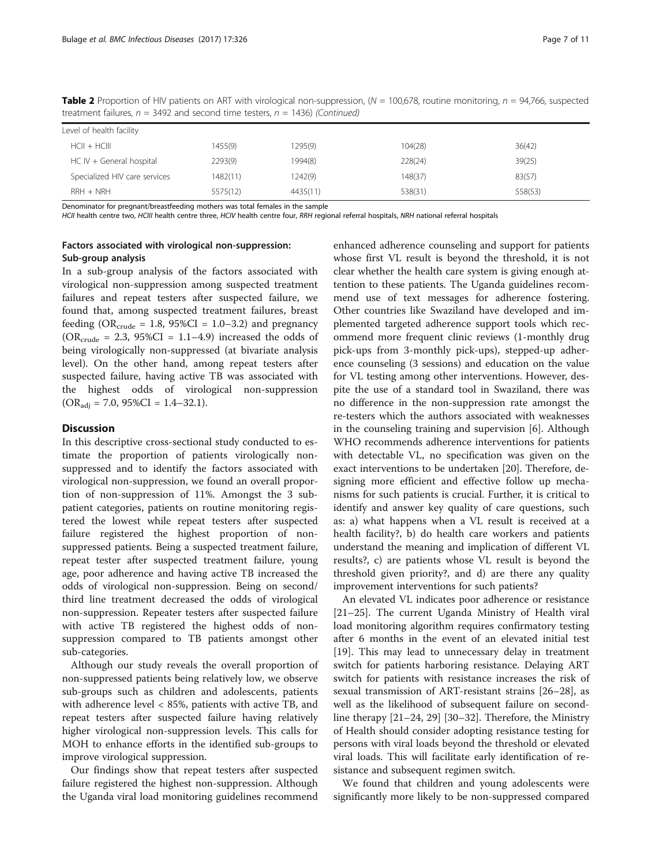| Level of health facility      |          |          |         |         |
|-------------------------------|----------|----------|---------|---------|
| $HClI + HClII$                | 1455(9)  | 1295(9)  | 104(28) | 36(42)  |
| $HC IV + General hospital$    | 2293(9)  | 1994(8)  | 228(24) | 39(25)  |
| Specialized HIV care services | 1482(11) | 1242(9)  | 148(37) | 83(57)  |
| $RRH + NRH$                   | 5575(12) | 4435(11) | 538(31) | 558(53) |

**Table 2** Proportion of HIV patients on ART with virological non-suppression, ( $N = 100,678$ , routine monitoring,  $n = 94,766$ , suspected treatment failures,  $n = 3492$  and second time testers,  $n = 1436$ ) (Continued)

Denominator for pregnant/breastfeeding mothers was total females in the sample

HCII health centre two, HCIII health centre three, HCIV health centre four, RRH regional referral hospitals, NRH national referral hospitals

# Factors associated with virological non-suppression:

## Sub-group analysis

In a sub-group analysis of the factors associated with virological non-suppression among suspected treatment failures and repeat testers after suspected failure, we found that, among suspected treatment failures, breast feeding (OR<sub>crude</sub> = 1.8, 95%CI = 1.0–3.2) and pregnancy  $(OR_{crude} = 2.3, 95\%CI = 1.1–4.9)$  increased the odds of being virologically non-suppressed (at bivariate analysis level). On the other hand, among repeat testers after suspected failure, having active TB was associated with the highest odds of virological non-suppression  $(OR_{\text{adi}} = 7.0, 95\%CI = 1.4-32.1).$ 

# Discussion

In this descriptive cross-sectional study conducted to estimate the proportion of patients virologically nonsuppressed and to identify the factors associated with virological non-suppression, we found an overall proportion of non-suppression of 11%. Amongst the 3 subpatient categories, patients on routine monitoring registered the lowest while repeat testers after suspected failure registered the highest proportion of nonsuppressed patients. Being a suspected treatment failure, repeat tester after suspected treatment failure, young age, poor adherence and having active TB increased the odds of virological non-suppression. Being on second/ third line treatment decreased the odds of virological non-suppression. Repeater testers after suspected failure with active TB registered the highest odds of nonsuppression compared to TB patients amongst other sub-categories.

Although our study reveals the overall proportion of non-suppressed patients being relatively low, we observe sub-groups such as children and adolescents, patients with adherence level < 85%, patients with active TB, and repeat testers after suspected failure having relatively higher virological non-suppression levels. This calls for MOH to enhance efforts in the identified sub-groups to improve virological suppression.

Our findings show that repeat testers after suspected failure registered the highest non-suppression. Although the Uganda viral load monitoring guidelines recommend

enhanced adherence counseling and support for patients whose first VL result is beyond the threshold, it is not clear whether the health care system is giving enough attention to these patients. The Uganda guidelines recommend use of text messages for adherence fostering. Other countries like Swaziland have developed and implemented targeted adherence support tools which recommend more frequent clinic reviews (1-monthly drug pick-ups from 3-monthly pick-ups), stepped-up adherence counseling (3 sessions) and education on the value for VL testing among other interventions. However, despite the use of a standard tool in Swaziland, there was no difference in the non-suppression rate amongst the re-testers which the authors associated with weaknesses in the counseling training and supervision [\[6](#page-9-0)]. Although WHO recommends adherence interventions for patients with detectable VL, no specification was given on the exact interventions to be undertaken [[20\]](#page-10-0). Therefore, designing more efficient and effective follow up mechanisms for such patients is crucial. Further, it is critical to identify and answer key quality of care questions, such as: a) what happens when a VL result is received at a health facility?, b) do health care workers and patients understand the meaning and implication of different VL results?, c) are patients whose VL result is beyond the threshold given priority?, and d) are there any quality improvement interventions for such patients?

An elevated VL indicates poor adherence or resistance [[21](#page-10-0)–[25](#page-10-0)]. The current Uganda Ministry of Health viral load monitoring algorithm requires confirmatory testing after 6 months in the event of an elevated initial test [[19\]](#page-10-0). This may lead to unnecessary delay in treatment switch for patients harboring resistance. Delaying ART switch for patients with resistance increases the risk of sexual transmission of ART-resistant strains [[26](#page-10-0)–[28](#page-10-0)], as well as the likelihood of subsequent failure on secondline therapy [\[21](#page-10-0)–[24, 29\]](#page-10-0) [[30](#page-10-0)–[32](#page-10-0)]. Therefore, the Ministry of Health should consider adopting resistance testing for persons with viral loads beyond the threshold or elevated viral loads. This will facilitate early identification of resistance and subsequent regimen switch.

We found that children and young adolescents were significantly more likely to be non-suppressed compared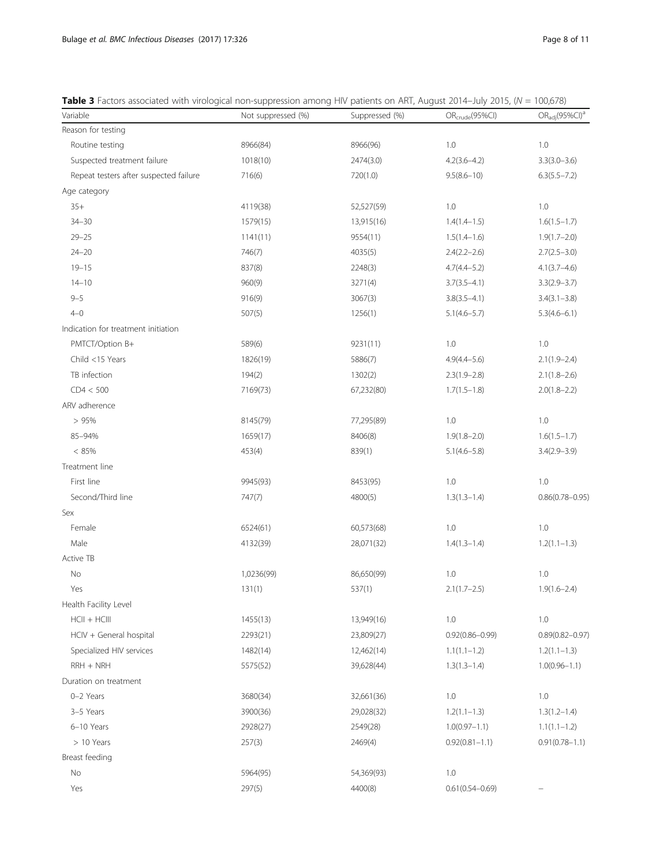<span id="page-7-0"></span>

|  |  |  |  | Table 3 Factors associated with virological non-suppression among HIV patients on ART, August 2014–July 2015, (N = 100,678) |
|--|--|--|--|-----------------------------------------------------------------------------------------------------------------------------|
|--|--|--|--|-----------------------------------------------------------------------------------------------------------------------------|

| Variable                               | Not suppressed (%) | Suppressed (%) | OR <sub>crude</sub> (95%Cl) | $OR_{\text{adj}}(95\% \text{Cl})^{\text{a}}$ |
|----------------------------------------|--------------------|----------------|-----------------------------|----------------------------------------------|
| Reason for testing                     |                    |                |                             |                                              |
| Routine testing                        | 8966(84)           | 8966(96)       | 1.0                         | 1.0                                          |
| Suspected treatment failure            | 1018(10)           | 2474(3.0)      | $4.2(3.6 - 4.2)$            | $3.3(3.0 - 3.6)$                             |
| Repeat testers after suspected failure | 716(6)             | 720(1.0)       | $9.5(8.6 - 10)$             | $6.3(5.5 - 7.2)$                             |
| Age category                           |                    |                |                             |                                              |
| $35+$                                  | 4119(38)           | 52,527(59)     | 1.0                         | 1.0                                          |
| $34 - 30$                              | 1579(15)           | 13,915(16)     | $1.4(1.4 - 1.5)$            | $1.6(1.5 - 1.7)$                             |
| $29 - 25$                              | 1141(11)           | 9554(11)       | $1.5(1.4 - 1.6)$            | $1.9(1.7 - 2.0)$                             |
| $24 - 20$                              | 746(7)             | 4035(5)        | $2.4(2.2 - 2.6)$            | $2.7(2.5 - 3.0)$                             |
| $19 - 15$                              | 837(8)             | 2248(3)        | $4.7(4.4 - 5.2)$            | $4.1(3.7-4.6)$                               |
| $14 - 10$                              | 960(9)             | 3271(4)        | $3.7(3.5 - 4.1)$            | $3.3(2.9 - 3.7)$                             |
| $9 - 5$                                | 916(9)             | 3067(3)        | $3.8(3.5 - 4.1)$            | $3.4(3.1 - 3.8)$                             |
| $4 - 0$                                | 507(5)             | 1256(1)        | $5.1(4.6 - 5.7)$            | $5.3(4.6 - 6.1)$                             |
| Indication for treatment initiation    |                    |                |                             |                                              |
| PMTCT/Option B+                        | 589(6)             | 9231(11)       | 1.0                         | 1.0                                          |
| Child <15 Years                        | 1826(19)           | 5886(7)        | $4.9(4.4 - 5.6)$            | $2.1(1.9 - 2.4)$                             |
| TB infection                           | 194(2)             | 1302(2)        | $2.3(1.9 - 2.8)$            | $2.1(1.8 - 2.6)$                             |
| CD4 < 500                              | 7169(73)           | 67,232(80)     | $1.7(1.5 - 1.8)$            | $2.0(1.8 - 2.2)$                             |
| ARV adherence                          |                    |                |                             |                                              |
| >95%                                   | 8145(79)           | 77,295(89)     | 1.0                         | 1.0                                          |
| 85-94%                                 | 1659(17)           | 8406(8)        | $1.9(1.8 - 2.0)$            | $1.6(1.5 - 1.7)$                             |
| < 85%                                  | 453(4)             | 839(1)         | $5.1(4.6 - 5.8)$            | $3.4(2.9 - 3.9)$                             |
| Treatment line                         |                    |                |                             |                                              |
| First line                             | 9945(93)           | 8453(95)       | $1.0\,$                     | 1.0                                          |
| Second/Third line                      | 747(7)             | 4800(5)        | $1.3(1.3 - 1.4)$            | $0.86(0.78 - 0.95)$                          |
| Sex                                    |                    |                |                             |                                              |
| Female                                 | 6524(61)           | 60,573(68)     | 1.0                         | $1.0\,$                                      |
| Male                                   | 4132(39)           | 28,071(32)     | $1.4(1.3 - 1.4)$            | $1.2(1.1 - 1.3)$                             |
| Active TB                              |                    |                |                             |                                              |
| $\rm No$                               | 1,0236(99)         | 86,650(99)     | $1.0\,$                     | 1.0                                          |
| Yes                                    | 131(1)             | 537(1)         | $2.1(1.7-2.5)$              | $1.9(1.6 - 2.4)$                             |
| Health Facility Level                  |                    |                |                             |                                              |
| $HClI + HClII$                         | 1455(13)           | 13,949(16)     | 1.0                         | 1.0                                          |
| HCIV + General hospital                | 2293(21)           | 23,809(27)     | $0.92(0.86 - 0.99)$         | $0.89(0.82 - 0.97)$                          |
| Specialized HIV services               | 1482(14)           | 12,462(14)     | $1.1(1.1-1.2)$              | $1.2(1.1-1.3)$                               |
| $RRH + NRH$                            | 5575(52)           | 39,628(44)     | $1.3(1.3-1.4)$              | $1.0(0.96 - 1.1)$                            |
| Duration on treatment                  |                    |                |                             |                                              |
| 0-2 Years                              | 3680(34)           | 32,661(36)     | 1.0                         | 1.0                                          |
| 3-5 Years                              | 3900(36)           | 29,028(32)     | $1.2(1.1-1.3)$              | $1.3(1.2 - 1.4)$                             |
| 6-10 Years                             | 2928(27)           | 2549(28)       | $1.0(0.97 - 1.1)$           | $1.1(1.1 - 1.2)$                             |
| > 10 Years                             | 257(3)             | 2469(4)        | $0.92(0.81 - 1.1)$          | $0.91(0.78 - 1.1)$                           |
| Breast feeding                         |                    |                |                             |                                              |
| No                                     | 5964(95)           | 54,369(93)     | 1.0                         |                                              |
| Yes                                    | 297(5)             | 4400(8)        | $0.61(0.54 - 0.69)$         |                                              |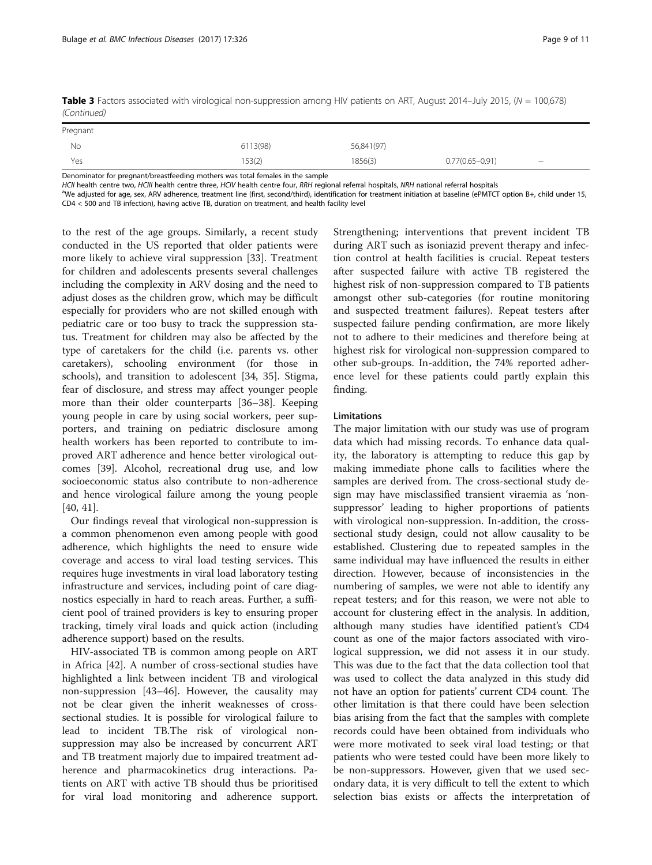Table 3 Factors associated with virological non-suppression among HIV patients on ART, August 2014–July 2015, ( $N = 100,678$ ) (Continued)

| Pregnant |          |            |                     |                                 |
|----------|----------|------------|---------------------|---------------------------------|
| No       | 6113(98) | 56,841(97) |                     |                                 |
| Yes      | 153(2)   | 1856(3)    | $0.77(0.65 - 0.91)$ | $\hspace{0.1mm}-\hspace{0.1mm}$ |

Denominator for pregnant/breastfeeding mothers was total females in the sample

HCII health centre two, HCIII health centre three, HCIV health centre four, RRH regional referral hospitals, NRH national referral hospitals

<sup>a</sup>We adjusted for age, sex, ARV adherence, treatment line (first, second/third), identification for treatment initiation at baseline (ePMTCT option B+, child under 15, CD4 < 500 and TB infection), having active TB, duration on treatment, and health facility level

to the rest of the age groups. Similarly, a recent study conducted in the US reported that older patients were more likely to achieve viral suppression [\[33](#page-10-0)]. Treatment for children and adolescents presents several challenges including the complexity in ARV dosing and the need to adjust doses as the children grow, which may be difficult especially for providers who are not skilled enough with pediatric care or too busy to track the suppression status. Treatment for children may also be affected by the type of caretakers for the child (i.e. parents vs. other caretakers), schooling environment (for those in schools), and transition to adolescent [[34, 35](#page-10-0)]. Stigma, fear of disclosure, and stress may affect younger people more than their older counterparts [[36](#page-10-0)–[38](#page-10-0)]. Keeping young people in care by using social workers, peer supporters, and training on pediatric disclosure among health workers has been reported to contribute to improved ART adherence and hence better virological outcomes [[39\]](#page-10-0). Alcohol, recreational drug use, and low socioeconomic status also contribute to non-adherence and hence virological failure among the young people [[40, 41\]](#page-10-0).

Our findings reveal that virological non-suppression is a common phenomenon even among people with good adherence, which highlights the need to ensure wide coverage and access to viral load testing services. This requires huge investments in viral load laboratory testing infrastructure and services, including point of care diagnostics especially in hard to reach areas. Further, a sufficient pool of trained providers is key to ensuring proper tracking, timely viral loads and quick action (including adherence support) based on the results.

HIV-associated TB is common among people on ART in Africa [[42\]](#page-10-0). A number of cross-sectional studies have highlighted a link between incident TB and virological non-suppression [\[43](#page-10-0)–[46](#page-10-0)]. However, the causality may not be clear given the inherit weaknesses of crosssectional studies. It is possible for virological failure to lead to incident TB.The risk of virological nonsuppression may also be increased by concurrent ART and TB treatment majorly due to impaired treatment adherence and pharmacokinetics drug interactions. Patients on ART with active TB should thus be prioritised for viral load monitoring and adherence support. Strengthening; interventions that prevent incident TB during ART such as isoniazid prevent therapy and infection control at health facilities is crucial. Repeat testers after suspected failure with active TB registered the highest risk of non-suppression compared to TB patients amongst other sub-categories (for routine monitoring and suspected treatment failures). Repeat testers after suspected failure pending confirmation, are more likely not to adhere to their medicines and therefore being at highest risk for virological non-suppression compared to other sub-groups. In-addition, the 74% reported adherence level for these patients could partly explain this finding.

## Limitations

The major limitation with our study was use of program data which had missing records. To enhance data quality, the laboratory is attempting to reduce this gap by making immediate phone calls to facilities where the samples are derived from. The cross-sectional study design may have misclassified transient viraemia as 'nonsuppressor' leading to higher proportions of patients with virological non-suppression. In-addition, the crosssectional study design, could not allow causality to be established. Clustering due to repeated samples in the same individual may have influenced the results in either direction. However, because of inconsistencies in the numbering of samples, we were not able to identify any repeat testers; and for this reason, we were not able to account for clustering effect in the analysis. In addition, although many studies have identified patient's CD4 count as one of the major factors associated with virological suppression, we did not assess it in our study. This was due to the fact that the data collection tool that was used to collect the data analyzed in this study did not have an option for patients' current CD4 count. The other limitation is that there could have been selection bias arising from the fact that the samples with complete records could have been obtained from individuals who were more motivated to seek viral load testing; or that patients who were tested could have been more likely to be non-suppressors. However, given that we used secondary data, it is very difficult to tell the extent to which selection bias exists or affects the interpretation of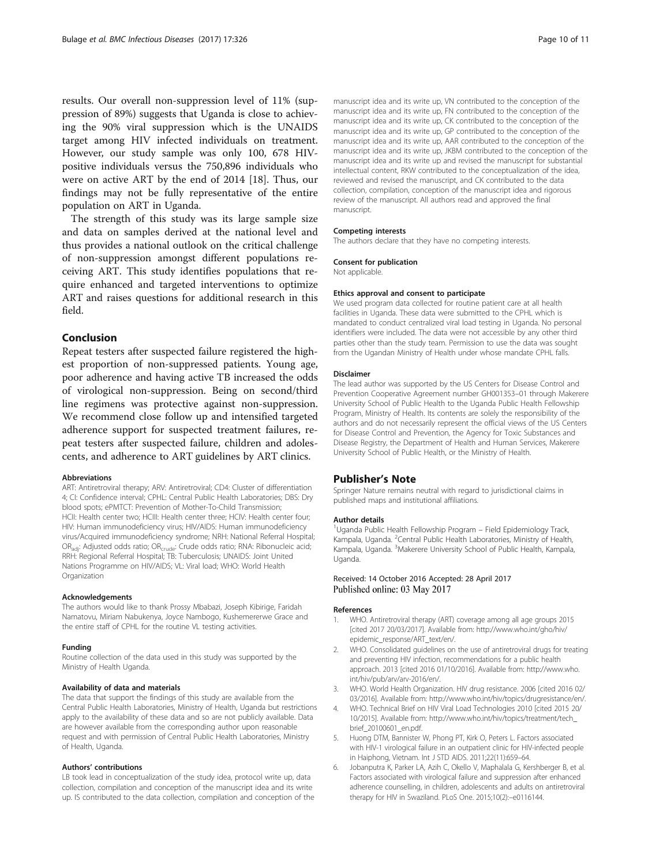<span id="page-9-0"></span>results. Our overall non-suppression level of 11% (suppression of 89%) suggests that Uganda is close to achieving the 90% viral suppression which is the UNAIDS target among HIV infected individuals on treatment. However, our study sample was only 100, 678 HIVpositive individuals versus the 750,896 individuals who were on active ART by the end of 2014 [[18\]](#page-10-0). Thus, our findings may not be fully representative of the entire population on ART in Uganda.

The strength of this study was its large sample size and data on samples derived at the national level and thus provides a national outlook on the critical challenge of non-suppression amongst different populations receiving ART. This study identifies populations that require enhanced and targeted interventions to optimize ART and raises questions for additional research in this field.

# Conclusion

Repeat testers after suspected failure registered the highest proportion of non-suppressed patients. Young age, poor adherence and having active TB increased the odds of virological non-suppression. Being on second/third line regimens was protective against non-suppression. We recommend close follow up and intensified targeted adherence support for suspected treatment failures, repeat testers after suspected failure, children and adolescents, and adherence to ART guidelines by ART clinics.

#### Abbreviations

ART: Antiretroviral therapy; ARV: Antiretroviral; CD4: Cluster of differentiation 4; CI: Confidence interval; CPHL: Central Public Health Laboratories; DBS: Dry blood spots; ePMTCT: Prevention of Mother-To-Child Transmission; HCII: Health center two; HCIII: Health center three; HCIV: Health center four; HIV: Human immunodeficiency virus; HIV/AIDS: Human immunodeficiency virus/Acquired immunodeficiency syndrome; NRH: National Referral Hospital; OR<sub>adj</sub>: Adjusted odds ratio; OR<sub>crude</sub>: Crude odds ratio; RNA: Ribonucleic acid; RRH: Regional Referral Hospital; TB: Tuberculosis; UNAIDS: Joint United Nations Programme on HIV/AIDS; VL: Viral load; WHO: World Health **Organization** 

#### Acknowledgements

The authors would like to thank Prossy Mbabazi, Joseph Kibirige, Faridah Namatovu, Miriam Nabukenya, Joyce Nambogo, Kushemererwe Grace and the entire staff of CPHL for the routine VL testing activities.

#### Funding

Routine collection of the data used in this study was supported by the Ministry of Health Uganda.

#### Availability of data and materials

The data that support the findings of this study are available from the Central Public Health Laboratories, Ministry of Health, Uganda but restrictions apply to the availability of these data and so are not publicly available. Data are however available from the corresponding author upon reasonable request and with permission of Central Public Health Laboratories, Ministry of Health, Uganda.

#### Authors' contributions

LB took lead in conceptualization of the study idea, protocol write up, data collection, compilation and conception of the manuscript idea and its write up. IS contributed to the data collection, compilation and conception of the manuscript idea and its write up, VN contributed to the conception of the manuscript idea and its write up, FN contributed to the conception of the manuscript idea and its write up, CK contributed to the conception of the manuscript idea and its write up, GP contributed to the conception of the manuscript idea and its write up, AAR contributed to the conception of the manuscript idea and its write up, JKBM contributed to the conception of the manuscript idea and its write up and revised the manuscript for substantial intellectual content, RKW contributed to the conceptualization of the idea, reviewed and revised the manuscript, and CK contributed to the data collection, compilation, conception of the manuscript idea and rigorous review of the manuscript. All authors read and approved the final manuscript.

#### Competing interests

The authors declare that they have no competing interests.

#### Consent for publication

Not applicable.

#### Ethics approval and consent to participate

We used program data collected for routine patient care at all health facilities in Uganda. These data were submitted to the CPHL which is mandated to conduct centralized viral load testing in Uganda. No personal identifiers were included. The data were not accessible by any other third parties other than the study team. Permission to use the data was sought from the Ugandan Ministry of Health under whose mandate CPHL falls.

#### Disclaimer

The lead author was supported by the US Centers for Disease Control and Prevention Cooperative Agreement number GH001353–01 through Makerere University School of Public Health to the Uganda Public Health Fellowship Program, Ministry of Health. Its contents are solely the responsibility of the authors and do not necessarily represent the official views of the US Centers for Disease Control and Prevention, the Agency for Toxic Substances and Disease Registry, the Department of Health and Human Services, Makerere University School of Public Health, or the Ministry of Health.

#### Publisher's Note

Springer Nature remains neutral with regard to jurisdictional claims in published maps and institutional affiliations.

#### Author details

<sup>1</sup>Uganda Public Health Fellowship Program - Field Epidemiology Track, Kampala, Uganda. <sup>2</sup>Central Public Health Laboratories, Ministry of Health, Kampala, Uganda. <sup>3</sup>Makerere University School of Public Health, Kampala Uganda.

#### Received: 14 October 2016 Accepted: 28 April 2017 Published online: 03 May 2017

#### References

- 1. WHO. Antiretroviral therapy (ART) coverage among all age groups 2015 [cited 2017 20/03/2017]. Available from: [http://www.who.int/gho/hiv/](http://www.who.int/gho/hiv/epidemic_response/ART_text/en/) [epidemic\\_response/ART\\_text/en/](http://www.who.int/gho/hiv/epidemic_response/ART_text/en/).
- 2. WHO. Consolidated guidelines on the use of antiretroviral drugs for treating and preventing HIV infection, recommendations for a public health approach. 2013 [cited 2016 01/10/2016]. Available from: [http://www.who.](http://www.who.int/hiv/pub/arv/arv-2016/en/) [int/hiv/pub/arv/arv-2016/en/.](http://www.who.int/hiv/pub/arv/arv-2016/en/)
- 3. WHO. World Health Organization. HIV drug resistance. 2006 [cited 2016 02/ 03/2016]. Available from:<http://www.who.int/hiv/topics/drugresistance/en/>.
- 4. WHO. Technical Brief on HIV Viral Load Technologies 2010 [cited 2015 20/ 10/2015]. Available from: [http://www.who.int/hiv/topics/treatment/tech\\_](http://www.who.int/hiv/topics/treatment/tech_brief_20100601_en.pdf) [brief\\_20100601\\_en.pdf.](http://www.who.int/hiv/topics/treatment/tech_brief_20100601_en.pdf)
- 5. Huong DTM, Bannister W, Phong PT, Kirk O, Peters L. Factors associated with HIV-1 virological failure in an outpatient clinic for HIV-infected people in Haiphong, Vietnam. Int J STD AIDS. 2011;22(11):659–64.
- 6. Jobanputra K, Parker LA, Azih C, Okello V, Maphalala G, Kershberger B, et al. Factors associated with virological failure and suppression after enhanced adherence counselling, in children, adolescents and adults on antiretroviral therapy for HIV in Swaziland. PLoS One. 2015;10(2):–e0116144.